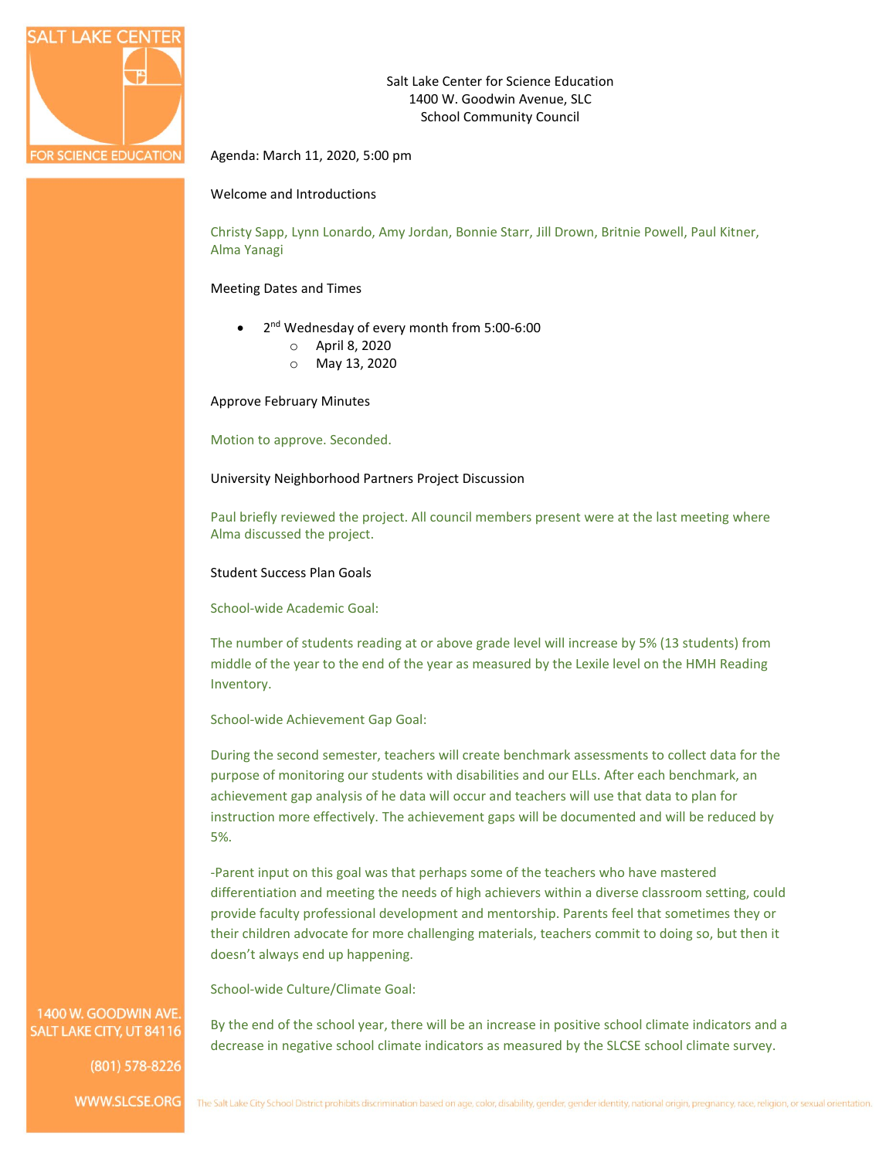

Salt Lake Center for Science Education 1400 W. Goodwin Avenue, SLC School Community Council

Agenda: March 11, 2020, 5:00 pm

## Welcome and Introductions

Christy Sapp, Lynn Lonardo, Amy Jordan, Bonnie Starr, Jill Drown, Britnie Powell, Paul Kitner, Alma Yanagi

### Meeting Dates and Times

- 2<sup>nd</sup> Wednesday of every month from 5:00-6:00
	- o April 8, 2020
	- o May 13, 2020

Approve February Minutes

Motion to approve. Seconded.

University Neighborhood Partners Project Discussion

Paul briefly reviewed the project. All council members present were at the last meeting where Alma discussed the project.

Student Success Plan Goals

School-wide Academic Goal:

The number of students reading at or above grade level will increase by 5% (13 students) from middle of the year to the end of the year as measured by the Lexile level on the HMH Reading Inventory.

School-wide Achievement Gap Goal:

During the second semester, teachers will create benchmark assessments to collect data for the purpose of monitoring our students with disabilities and our ELLs. After each benchmark, an achievement gap analysis of he data will occur and teachers will use that data to plan for instruction more effectively. The achievement gaps will be documented and will be reduced by 5%.

-Parent input on this goal was that perhaps some of the teachers who have mastered differentiation and meeting the needs of high achievers within a diverse classroom setting, could provide faculty professional development and mentorship. Parents feel that sometimes they or their children advocate for more challenging materials, teachers commit to doing so, but then it doesn't always end up happening.

School-wide Culture/Climate Goal:

By the end of the school year, there will be an increase in positive school climate indicators and a decrease in negative school climate indicators as measured by the SLCSE school climate survey.

# 1400 W. GOODWIN AVE SALT LAKE CITY, UT 84116

(801) 578-8226

WWW.SLCSE.ORG